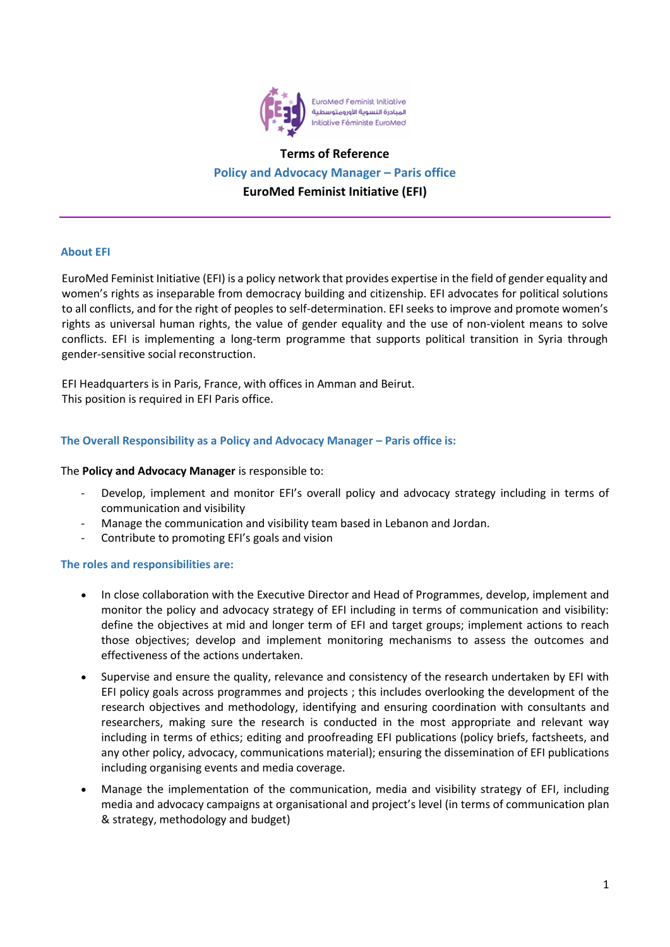

# **Terms of Reference Policy and Advocacy Manager – Paris office EuroMed Feminist Initiative (EFI)**

## **About EFI**

EuroMed Feminist Initiative (EFI) is a policy network that provides expertise in the field of gender equality and women's rights as inseparable from democracy building and citizenship. EFI advocates for political solutions to all conflicts, and for the right of peoples to self-determination. EFI seeks to improve and promote women's rights as universal human rights, the value of gender equality and the use of non-violent means to solve conflicts. EFI is implementing a long-term programme that supports political transition in Syria through gender-sensitive social reconstruction.

EFI Headquarters is in Paris, France, with offices in Amman and Beirut. This position is required in EFI Paris office.

# **The Overall Responsibility as a Policy and Advocacy Manager – Paris office is:**

## The **Policy and Advocacy Manager** is responsible to:

- Develop, implement and monitor EFI's overall policy and advocacy strategy including in terms of communication and visibility
- Manage the communication and visibility team based in Lebanon and Jordan.
- Contribute to promoting EFI's goals and vision

## **The roles and responsibilities are:**

- In close collaboration with the Executive Director and Head of Programmes, develop, implement and monitor the policy and advocacy strategy of EFI including in terms of communication and visibility: define the objectives at mid and longer term of EFI and target groups; implement actions to reach those objectives; develop and implement monitoring mechanisms to assess the outcomes and effectiveness of the actions undertaken.
- Supervise and ensure the quality, relevance and consistency of the research undertaken by EFI with EFI policy goals across programmes and projects ; this includes overlooking the development of the research objectives and methodology, identifying and ensuring coordination with consultants and researchers, making sure the research is conducted in the most appropriate and relevant way including in terms of ethics; editing and proofreading EFI publications (policy briefs, factsheets, and any other policy, advocacy, communications material); ensuring the dissemination of EFI publications including organising events and media coverage.
- Manage the implementation of the communication, media and visibility strategy of EFI, including media and advocacy campaigns at organisational and project's level (in terms of communication plan & strategy, methodology and budget)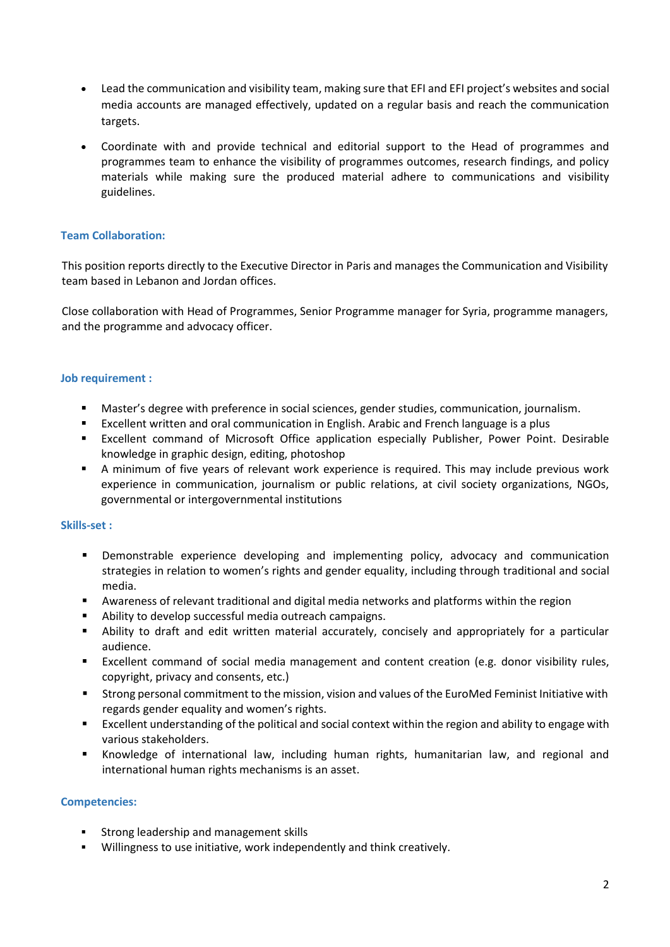- Lead the communication and visibility team, making sure that EFI and EFI project's websites and social media accounts are managed effectively, updated on a regular basis and reach the communication targets.
- Coordinate with and provide technical and editorial support to the Head of programmes and programmes team to enhance the visibility of programmes outcomes, research findings, and policy materials while making sure the produced material adhere to communications and visibility guidelines.

# **Team Collaboration:**

This position reports directly to the Executive Director in Paris and manages the Communication and Visibility team based in Lebanon and Jordan offices.

Close collaboration with Head of Programmes, Senior Programme manager for Syria, programme managers, and the programme and advocacy officer.

## **Job requirement :**

- Master's degree with preference in social sciences, gender studies, communication, journalism.
- Excellent written and oral communication in English. Arabic and French language is a plus
- **Excellent command of Microsoft Office application especially Publisher, Power Point. Desirable** knowledge in graphic design, editing, photoshop
- A minimum of five years of relevant work experience is required. This may include previous work experience in communication, journalism or public relations, at civil society organizations, NGOs, governmental or intergovernmental institutions

## **Skills-set :**

- **•** Demonstrable experience developing and implementing policy, advocacy and communication strategies in relation to women's rights and gender equality, including through traditional and social media.
- Awareness of relevant traditional and digital media networks and platforms within the region
- Ability to develop successful media outreach campaigns.
- **E** Ability to draft and edit written material accurately, concisely and appropriately for a particular audience.
- Excellent command of social media management and content creation (e.g. donor visibility rules, copyright, privacy and consents, etc.)
- Strong personal commitment to the mission, vision and values of the EuroMed Feminist Initiative with regards gender equality and women's rights.
- Excellent understanding of the political and social context within the region and ability to engage with various stakeholders.
- Knowledge of international law, including human rights, humanitarian law, and regional and international human rights mechanisms is an asset.

## **Competencies:**

- **EXECT** Strong leadership and management skills
- Willingness to use initiative, work independently and think creatively.